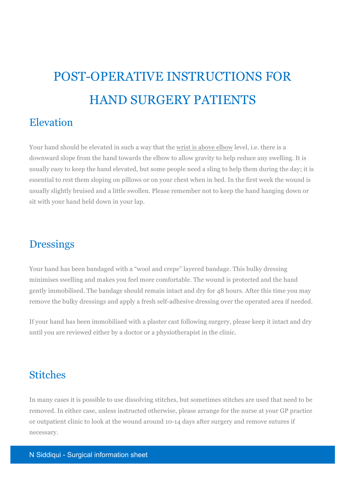# POST-OPERATIVE INSTRUCTIONS FOR HAND SURGERY PATIENTS

#### Elevation

Your hand should be elevated in such a way that the wrist is above elbow level, i.e. there is a downward slope from the hand towards the elbow to allow gravity to help reduce any swelling. It is usually easy to keep the hand elevated, but some people need a sling to help them during the day; it is essential to rest them sloping on pillows or on your chest when in bed. In the first week the wound is usually slightly bruised and a little swollen. Please remember not to keep the hand hanging down or sit with your hand held down in your lap.

#### **Dressings**

Your hand has been bandaged with a "wool and crepe" layered bandage. This bulky dressing minimises swelling and makes you feel more comfortable. The wound is protected and the hand gently immobilised. The bandage should remain intact and dry for 48 hours. After this time you may remove the bulky dressings and apply a fresh self-adhesive dressing over the operated area if needed.

If your hand has been immobilised with a plaster cast following surgery, please keep it intact and dry until you are reviewed either by a doctor or a physiotherapist in the clinic.

#### **Stitches**

In many cases it is possible to use dissolving stitches, but sometimes stitches are used that need to be removed. In either case, unless instructed otherwise, please arrange for the nurse at your GP practice or outpatient clinic to look at the wound around 10-14 days after surgery and remove sutures if necessary.